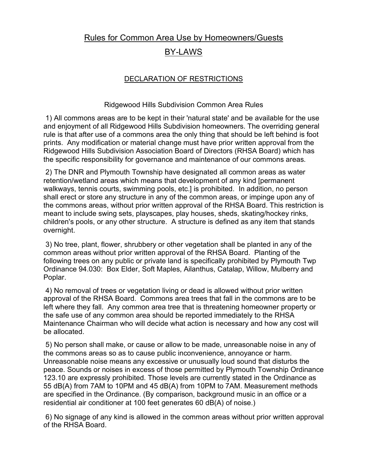## Rules for Common Area Use by Homeowners/Guests

## BY-LAWS

## DECLARATION OF RESTRICTIONS

## Ridgewood Hills Subdivision Common Area Rules

1) All commons areas are to be kept in their 'natural state' and be available for the use and enjoyment of all Ridgewood Hills Subdivision homeowners. The overriding general rule is that after use of a commons area the only thing that should be left behind is foot prints. Any modification or material change must have prior written approval from the Ridgewood Hills Subdivision Association Board of Directors (RHSA Board) which has the specific responsibility for governance and maintenance of our commons areas.

2) The DNR and Plymouth Township have designated all common areas as water retention/wetland areas which means that development of any kind [permanent walkways, tennis courts, swimming pools, etc.] is prohibited. In addition, no person shall erect or store any structure in any of the common areas, or impinge upon any of the commons areas, without prior written approval of the RHSA Board. This restriction is meant to include swing sets, playscapes, play houses, sheds, skating/hockey rinks, children's pools, or any other structure. A structure is defined as any item that stands overnight.

3) No tree, plant, flower, shrubbery or other vegetation shall be planted in any of the common areas without prior written approval of the RHSA Board. Planting of the following trees on any public or private land is specifically prohibited by Plymouth Twp Ordinance 94.030: Box Elder, Soft Maples, Ailanthus, Catalap, Willow, Mulberry and Poplar.

4) No removal of trees or vegetation living or dead is allowed without prior written approval of the RHSA Board. Commons area trees that fall in the commons are to be left where they fall. Any common area tree that is threatening homeowner property or the safe use of any common area should be reported immediately to the RHSA Maintenance Chairman who will decide what action is necessary and how any cost will be allocated.

5) No person shall make, or cause or allow to be made, unreasonable noise in any of the commons areas so as to cause public inconvenience, annoyance or harm. Unreasonable noise means any excessive or unusually loud sound that disturbs the peace. Sounds or noises in excess of those permitted by Plymouth Township Ordinance 123.10 are expressly prohibited. Those levels are currently stated in the Ordinance as 55 dB(A) from 7AM to 10PM and 45 dB(A) from 10PM to 7AM. Measurement methods are specified in the Ordinance. (By comparison, background music in an office or a residential air conditioner at 100 feet generates 60 dB(A) of noise.)

6) No signage of any kind is allowed in the common areas without prior written approval of the RHSA Board.